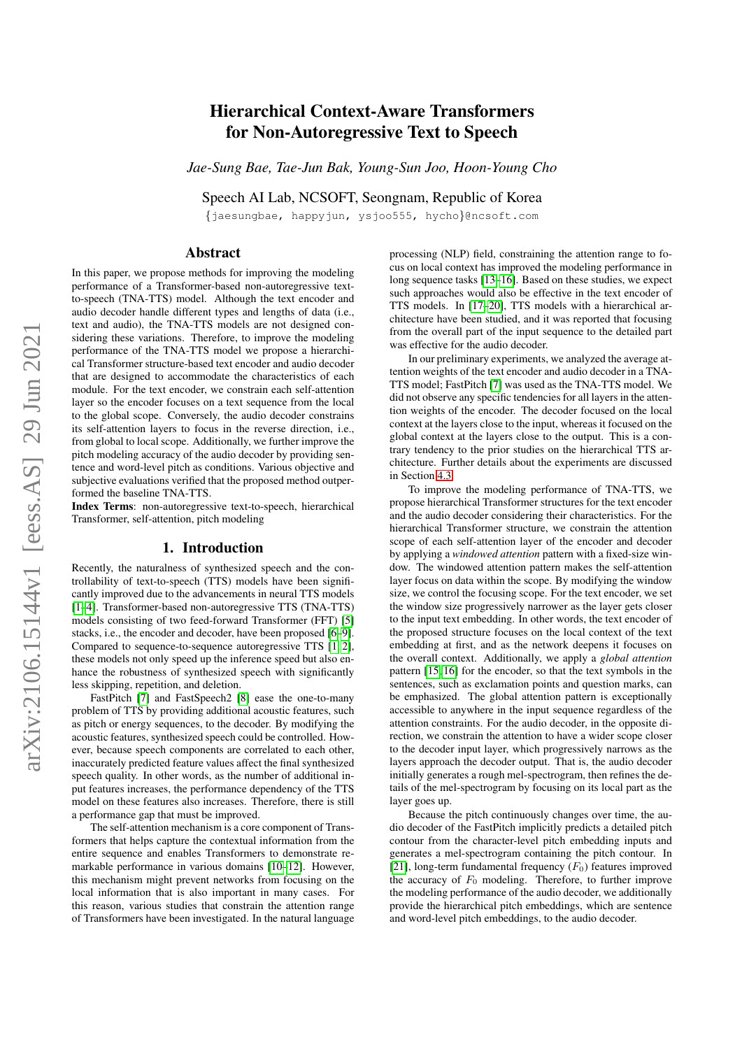# arXiv:2106.15144v1 [eess.AS] 29 Jun 2021 arXiv:2106.15144v1 [eess.AS] 29 Jun 2021

# Hierarchical Context-Aware Transformers for Non-Autoregressive Text to Speech

*Jae-Sung Bae, Tae-Jun Bak, Young-Sun Joo, Hoon-Young Cho*

Speech AI Lab, NCSOFT, Seongnam, Republic of Korea

{jaesungbae, happyjun, ysjoo555, hycho}@ncsoft.com

# Abstract

In this paper, we propose methods for improving the modeling performance of a Transformer-based non-autoregressive textto-speech (TNA-TTS) model. Although the text encoder and audio decoder handle different types and lengths of data (i.e., text and audio), the TNA-TTS models are not designed considering these variations. Therefore, to improve the modeling performance of the TNA-TTS model we propose a hierarchical Transformer structure-based text encoder and audio decoder that are designed to accommodate the characteristics of each module. For the text encoder, we constrain each self-attention layer so the encoder focuses on a text sequence from the local to the global scope. Conversely, the audio decoder constrains its self-attention layers to focus in the reverse direction, i.e., from global to local scope. Additionally, we further improve the pitch modeling accuracy of the audio decoder by providing sentence and word-level pitch as conditions. Various objective and subjective evaluations verified that the proposed method outperformed the baseline TNA-TTS.

Index Terms: non-autoregressive text-to-speech, hierarchical Transformer, self-attention, pitch modeling

#### 1. Introduction

Recently, the naturalness of synthesized speech and the controllability of text-to-speech (TTS) models have been significantly improved due to the advancements in neural TTS models [\[1–](#page-4-0)[4\]](#page-4-1). Transformer-based non-autoregressive TTS (TNA-TTS) models consisting of two feed-forward Transformer (FFT) [\[5\]](#page-4-2) stacks, i.e., the encoder and decoder, have been proposed [\[6–](#page-4-3)[9\]](#page-4-4). Compared to sequence-to-sequence autoregressive TTS [\[1,](#page-4-0) [2\]](#page-4-5), these models not only speed up the inference speed but also enhance the robustness of synthesized speech with significantly less skipping, repetition, and deletion.

FastPitch [\[7\]](#page-4-6) and FastSpeech2 [\[8\]](#page-4-7) ease the one-to-many problem of TTS by providing additional acoustic features, such as pitch or energy sequences, to the decoder. By modifying the acoustic features, synthesized speech could be controlled. However, because speech components are correlated to each other, inaccurately predicted feature values affect the final synthesized speech quality. In other words, as the number of additional input features increases, the performance dependency of the TTS model on these features also increases. Therefore, there is still a performance gap that must be improved.

The self-attention mechanism is a core component of Transformers that helps capture the contextual information from the entire sequence and enables Transformers to demonstrate remarkable performance in various domains [\[10–](#page-4-8)[12\]](#page-4-9). However, this mechanism might prevent networks from focusing on the local information that is also important in many cases. For this reason, various studies that constrain the attention range of Transformers have been investigated. In the natural language

processing (NLP) field, constraining the attention range to focus on local context has improved the modeling performance in long sequence tasks [\[13–](#page-4-10)[16\]](#page-4-11). Based on these studies, we expect such approaches would also be effective in the text encoder of TTS models. In [\[17](#page-4-12)[–20\]](#page-4-13), TTS models with a hierarchical architecture have been studied, and it was reported that focusing from the overall part of the input sequence to the detailed part was effective for the audio decoder.

In our preliminary experiments, we analyzed the average attention weights of the text encoder and audio decoder in a TNA-TTS model; FastPitch [\[7\]](#page-4-6) was used as the TNA-TTS model. We did not observe any specific tendencies for all layers in the attention weights of the encoder. The decoder focused on the local context at the layers close to the input, whereas it focused on the global context at the layers close to the output. This is a contrary tendency to the prior studies on the hierarchical TTS architecture. Further details about the experiments are discussed in Section [4.3.](#page-2-0)

To improve the modeling performance of TNA-TTS, we propose hierarchical Transformer structures for the text encoder and the audio decoder considering their characteristics. For the hierarchical Transformer structure, we constrain the attention scope of each self-attention layer of the encoder and decoder by applying a *windowed attention* pattern with a fixed-size window. The windowed attention pattern makes the self-attention layer focus on data within the scope. By modifying the window size, we control the focusing scope. For the text encoder, we set the window size progressively narrower as the layer gets closer to the input text embedding. In other words, the text encoder of the proposed structure focuses on the local context of the text embedding at first, and as the network deepens it focuses on the overall context. Additionally, we apply a *global attention* pattern [\[15,](#page-4-14) [16\]](#page-4-11) for the encoder, so that the text symbols in the sentences, such as exclamation points and question marks, can be emphasized. The global attention pattern is exceptionally accessible to anywhere in the input sequence regardless of the attention constraints. For the audio decoder, in the opposite direction, we constrain the attention to have a wider scope closer to the decoder input layer, which progressively narrows as the layers approach the decoder output. That is, the audio decoder initially generates a rough mel-spectrogram, then refines the details of the mel-spectrogram by focusing on its local part as the layer goes up.

Because the pitch continuously changes over time, the audio decoder of the FastPitch implicitly predicts a detailed pitch contour from the character-level pitch embedding inputs and generates a mel-spectrogram containing the pitch contour. In [\[21\]](#page-4-15), long-term fundamental frequency  $(F_0)$  features improved the accuracy of  $F_0$  modeling. Therefore, to further improve the modeling performance of the audio decoder, we additionally provide the hierarchical pitch embeddings, which are sentence and word-level pitch embeddings, to the audio decoder.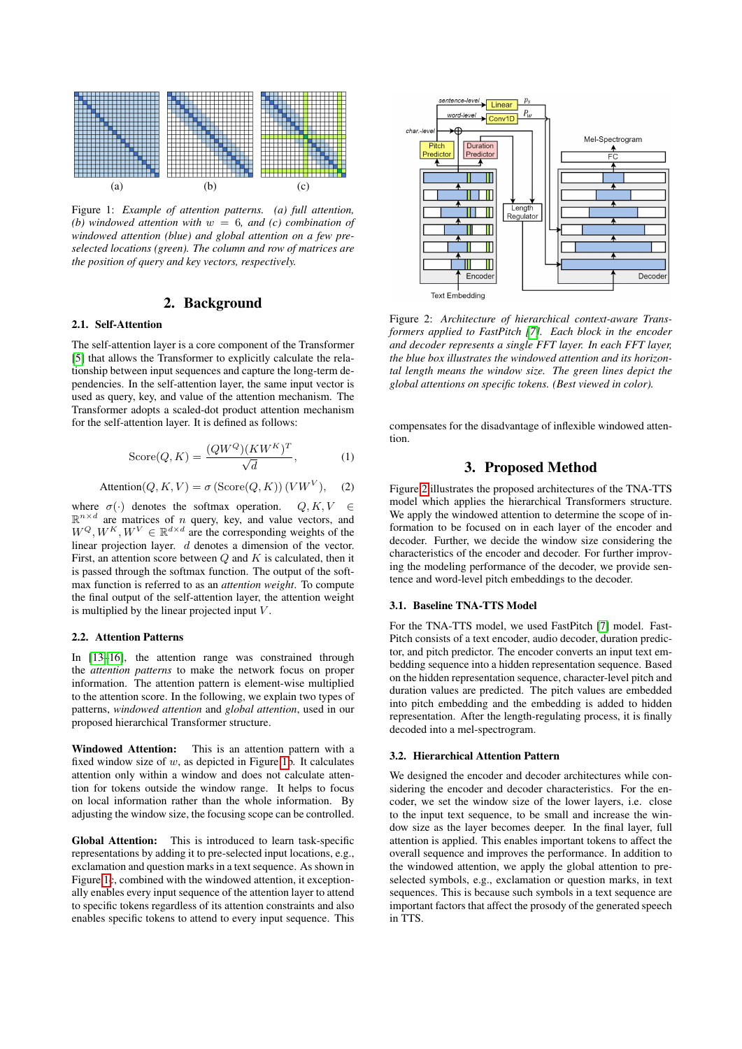<span id="page-1-0"></span>

Figure 1: *Example of attention patterns. (a) full attention, (b) windowed attention with* w = 6*, and (c) combination of windowed attention (blue) and global attention on a few preselected locations (green). The column and row of matrices are the position of query and key vectors, respectively.*

# 2. Background

# 2.1. Self-Attention

The self-attention layer is a core component of the Transformer [\[5\]](#page-4-2) that allows the Transformer to explicitly calculate the relationship between input sequences and capture the long-term dependencies. In the self-attention layer, the same input vector is used as query, key, and value of the attention mechanism. The Transformer adopts a scaled-dot product attention mechanism for the self-attention layer. It is defined as follows:

$$
\text{Score}(Q, K) = \frac{(QW^Q)(KW^K)^T}{\sqrt{d}},\tag{1}
$$

$$
Attention(Q, K, V) = \sigma (Score(Q, K)) (VW^{V}), \quad (2)
$$

where  $\sigma(\cdot)$  denotes the softmax operation.  $Q, K, V \in$  $\mathbb{R}^{n \times d}$  are matrices of *n* query, key, and value vectors, and  $W^{Q}, W^{K}, W^{V} \in \mathbb{R}^{d \times d}$  are the corresponding weights of the linear projection layer. d denotes a dimension of the vector. First, an attention score between  $Q$  and  $K$  is calculated, then it is passed through the softmax function. The output of the softmax function is referred to as an *attention weight*. To compute the final output of the self-attention layer, the attention weight is multiplied by the linear projected input  $V$ .

#### 2.2. Attention Patterns

In [\[13–](#page-4-10)[16\]](#page-4-11), the attention range was constrained through the *attention patterns* to make the network focus on proper information. The attention pattern is element-wise multiplied to the attention score. In the following, we explain two types of patterns, *windowed attention* and *global attention*, used in our proposed hierarchical Transformer structure.

Windowed Attention: This is an attention pattern with a fixed window size of  $w$ , as depicted in Figure [1b](#page-1-0). It calculates attention only within a window and does not calculate attention for tokens outside the window range. It helps to focus on local information rather than the whole information. By adjusting the window size, the focusing scope can be controlled.

Global Attention: This is introduced to learn task-specific representations by adding it to pre-selected input locations, e.g., exclamation and question marks in a text sequence. As shown in Figure [1c](#page-1-0), combined with the windowed attention, it exceptionally enables every input sequence of the attention layer to attend to specific tokens regardless of its attention constraints and also enables specific tokens to attend to every input sequence. This

<span id="page-1-1"></span>

Figure 2: *Architecture of hierarchical context-aware Transformers applied to FastPitch [\[7\]](#page-4-6). Each block in the encoder and decoder represents a single FFT layer. In each FFT layer, the blue box illustrates the windowed attention and its horizontal length means the window size. The green lines depict the global attentions on specific tokens. (Best viewed in color).*

compensates for the disadvantage of inflexible windowed attention.

### 3. Proposed Method

Figure [2](#page-1-1) illustrates the proposed architectures of the TNA-TTS model which applies the hierarchical Transformers structure. We apply the windowed attention to determine the scope of information to be focused on in each layer of the encoder and decoder. Further, we decide the window size considering the characteristics of the encoder and decoder. For further improving the modeling performance of the decoder, we provide sentence and word-level pitch embeddings to the decoder.

#### 3.1. Baseline TNA-TTS Model

For the TNA-TTS model, we used FastPitch [\[7\]](#page-4-6) model. Fast-Pitch consists of a text encoder, audio decoder, duration predictor, and pitch predictor. The encoder converts an input text embedding sequence into a hidden representation sequence. Based on the hidden representation sequence, character-level pitch and duration values are predicted. The pitch values are embedded into pitch embedding and the embedding is added to hidden representation. After the length-regulating process, it is finally decoded into a mel-spectrogram.

#### 3.2. Hierarchical Attention Pattern

We designed the encoder and decoder architectures while considering the encoder and decoder characteristics. For the encoder, we set the window size of the lower layers, i.e. close to the input text sequence, to be small and increase the window size as the layer becomes deeper. In the final layer, full attention is applied. This enables important tokens to affect the overall sequence and improves the performance. In addition to the windowed attention, we apply the global attention to preselected symbols, e.g., exclamation or question marks, in text sequences. This is because such symbols in a text sequence are important factors that affect the prosody of the generated speech in TTS.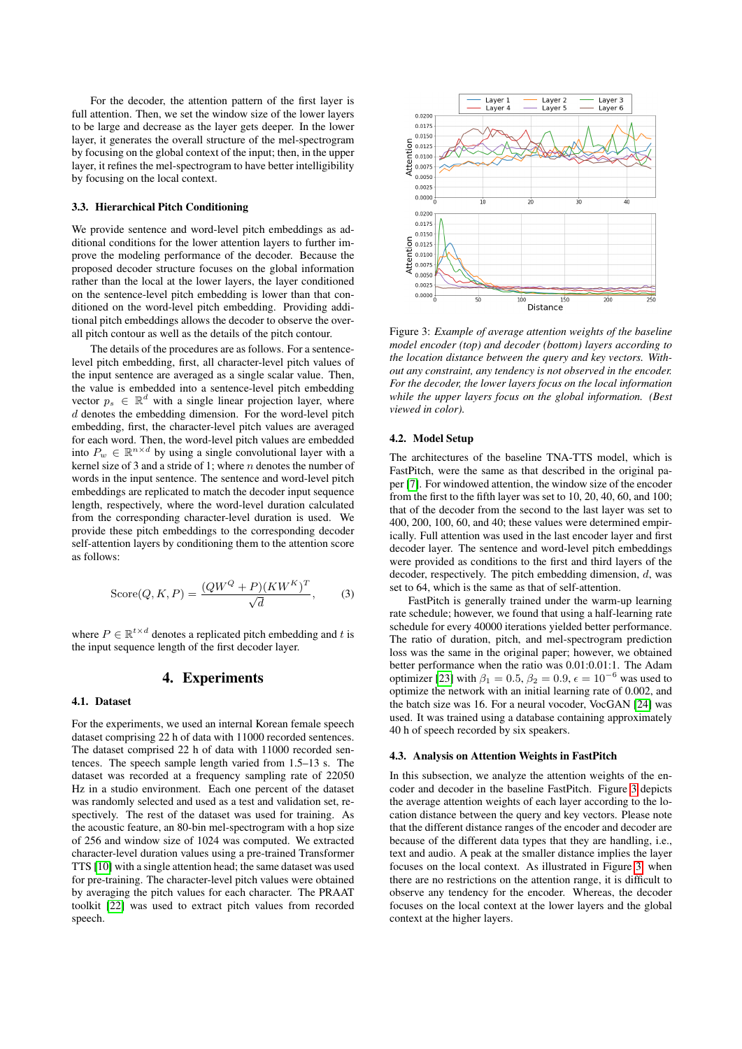For the decoder, the attention pattern of the first layer is full attention. Then, we set the window size of the lower layers to be large and decrease as the layer gets deeper. In the lower layer, it generates the overall structure of the mel-spectrogram by focusing on the global context of the input; then, in the upper layer, it refines the mel-spectrogram to have better intelligibility by focusing on the local context.

#### 3.3. Hierarchical Pitch Conditioning

We provide sentence and word-level pitch embeddings as additional conditions for the lower attention layers to further improve the modeling performance of the decoder. Because the proposed decoder structure focuses on the global information rather than the local at the lower layers, the layer conditioned on the sentence-level pitch embedding is lower than that conditioned on the word-level pitch embedding. Providing additional pitch embeddings allows the decoder to observe the overall pitch contour as well as the details of the pitch contour.

The details of the procedures are as follows. For a sentencelevel pitch embedding, first, all character-level pitch values of the input sentence are averaged as a single scalar value. Then, the value is embedded into a sentence-level pitch embedding vector  $p_s \in \mathbb{R}^d$  with a single linear projection layer, where d denotes the embedding dimension. For the word-level pitch embedding, first, the character-level pitch values are averaged for each word. Then, the word-level pitch values are embedded into  $P_w \in \mathbb{R}^{n \times d}$  by using a single convolutional layer with a kernel size of 3 and a stride of 1; where  $n$  denotes the number of words in the input sentence. The sentence and word-level pitch embeddings are replicated to match the decoder input sequence length, respectively, where the word-level duration calculated from the corresponding character-level duration is used. We provide these pitch embeddings to the corresponding decoder self-attention layers by conditioning them to the attention score as follows:

$$
\text{Score}(Q, K, P) = \frac{(QW^Q + P)(KW^K)^T}{\sqrt{d}},\tag{3}
$$

where  $P \in \mathbb{R}^{t \times d}$  denotes a replicated pitch embedding and t is the input sequence length of the first decoder layer.

# 4. Experiments

#### 4.1. Dataset

For the experiments, we used an internal Korean female speech dataset comprising 22 h of data with 11000 recorded sentences. The dataset comprised 22 h of data with 11000 recorded sentences. The speech sample length varied from 1.5–13 s. The dataset was recorded at a frequency sampling rate of 22050 Hz in a studio environment. Each one percent of the dataset was randomly selected and used as a test and validation set, respectively. The rest of the dataset was used for training. As the acoustic feature, an 80-bin mel-spectrogram with a hop size of 256 and window size of 1024 was computed. We extracted character-level duration values using a pre-trained Transformer TTS [\[10\]](#page-4-8) with a single attention head; the same dataset was used for pre-training. The character-level pitch values were obtained by averaging the pitch values for each character. The PRAAT toolkit [\[22\]](#page-4-16) was used to extract pitch values from recorded speech.

<span id="page-2-1"></span>

Figure 3: *Example of average attention weights of the baseline model encoder (top) and decoder (bottom) layers according to the location distance between the query and key vectors. Without any constraint, any tendency is not observed in the encoder. For the decoder, the lower layers focus on the local information while the upper layers focus on the global information. (Best viewed in color).*

#### 4.2. Model Setup

The architectures of the baseline TNA-TTS model, which is FastPitch, were the same as that described in the original paper [\[7\]](#page-4-6). For windowed attention, the window size of the encoder from the first to the fifth layer was set to 10, 20, 40, 60, and 100; that of the decoder from the second to the last layer was set to 400, 200, 100, 60, and 40; these values were determined empirically. Full attention was used in the last encoder layer and first decoder layer. The sentence and word-level pitch embeddings were provided as conditions to the first and third layers of the decoder, respectively. The pitch embedding dimension, d, was set to 64, which is the same as that of self-attention.

FastPitch is generally trained under the warm-up learning rate schedule; however, we found that using a half-learning rate schedule for every 40000 iterations yielded better performance. The ratio of duration, pitch, and mel-spectrogram prediction loss was the same in the original paper; however, we obtained better performance when the ratio was 0.01:0.01:1. The Adam optimizer [\[23\]](#page-4-17) with  $\beta_1 = 0.5$ ,  $\beta_2 = 0.9$ ,  $\epsilon = 10^{-6}$  was used to optimize the network with an initial learning rate of 0.002, and the batch size was 16. For a neural vocoder, VocGAN [\[24\]](#page-4-18) was used. It was trained using a database containing approximately 40 h of speech recorded by six speakers.

#### <span id="page-2-0"></span>4.3. Analysis on Attention Weights in FastPitch

In this subsection, we analyze the attention weights of the encoder and decoder in the baseline FastPitch. Figure [3](#page-2-1) depicts the average attention weights of each layer according to the location distance between the query and key vectors. Please note that the different distance ranges of the encoder and decoder are because of the different data types that they are handling, i.e., text and audio. A peak at the smaller distance implies the layer focuses on the local context. As illustrated in Figure [3,](#page-2-1) when there are no restrictions on the attention range, it is difficult to observe any tendency for the encoder. Whereas, the decoder focuses on the local context at the lower layers and the global context at the higher layers.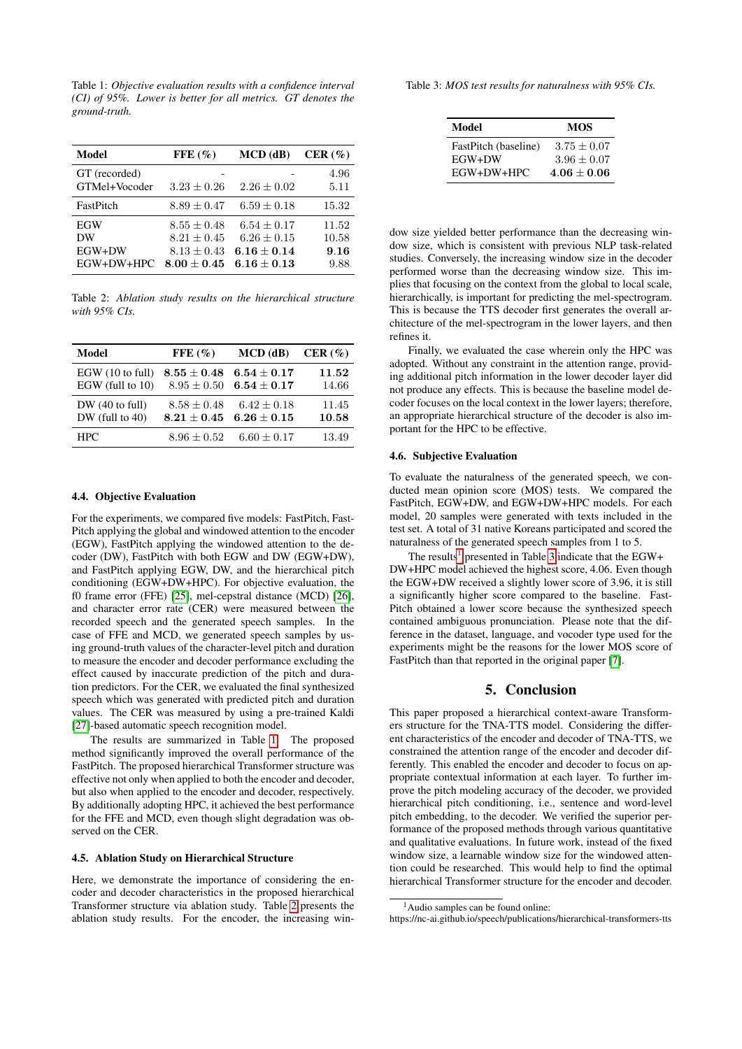<span id="page-3-0"></span>Table 1: *Objective evaluation results with a confidence interval (CI) of 95%. Lower is better for all metrics. GT denotes the ground-truth.*

| Model                             | $\text{FFE}(\%)$                                                       | $MCD$ (dB)                                                           | CER $(\% )$                    |
|-----------------------------------|------------------------------------------------------------------------|----------------------------------------------------------------------|--------------------------------|
| GT (recorded)<br>GTMel+Vocoder    | $3.23 \pm 0.26$                                                        | $2.26 \pm 0.02$                                                      | 4.96<br>5.11                   |
| FastPitch                         | $8.89 \pm 0.47$                                                        | $6.59 \pm 0.18$                                                      | 15.32                          |
| EGW<br>DW<br>EGW+DW<br>EGW+DW+HPC | $8.55 \pm 0.48$<br>$8.21 \pm 0.45$<br>$8.13 \pm 0.43$<br>$8.00 + 0.45$ | $6.54 \pm 0.17$<br>$6.26 \pm 0.15$<br>$6.16 + 0.14$<br>$6.16 + 0.13$ | 11.52<br>10.58<br>9.16<br>9.88 |

<span id="page-3-1"></span>Table 2: *Ablation study results on the hierarchical structure with 95% CIs.*

| Model                               | $\text{FFE}(\%)$                 | $MCD$ (dB)                         | CER(%)         |
|-------------------------------------|----------------------------------|------------------------------------|----------------|
| EGW(10 to full)<br>EGW (full to 10) | $8.55\pm0.48$<br>$8.95 \pm 0.50$ | $6.54\pm0.17$<br>$6.54\pm0.17$     | 11.52<br>14.66 |
| DW(40 to full)<br>$DW$ (full to 40) | $8.58 + 0.48$<br>$8.21 + 0.45$   | $6.42 \pm 0.18$<br>$6.26 \pm 0.15$ | 11.45<br>10.58 |
| <b>HPC</b>                          | $8.96 \pm 0.52$                  | $6.60 \pm 0.17$                    | 13.49          |

#### 4.4. Objective Evaluation

For the experiments, we compared five models: FastPitch, Fast-Pitch applying the global and windowed attention to the encoder (EGW), FastPitch applying the windowed attention to the decoder (DW), FastPitch with both EGW and DW (EGW+DW), and FastPitch applying EGW, DW, and the hierarchical pitch conditioning (EGW+DW+HPC). For objective evaluation, the f0 frame error (FFE) [\[25\]](#page-4-19), mel-cepstral distance (MCD) [\[26\]](#page-4-20), and character error rate (CER) were measured between the recorded speech and the generated speech samples. In the case of FFE and MCD, we generated speech samples by using ground-truth values of the character-level pitch and duration to measure the encoder and decoder performance excluding the effect caused by inaccurate prediction of the pitch and duration predictors. For the CER, we evaluated the final synthesized speech which was generated with predicted pitch and duration values. The CER was measured by using a pre-trained Kaldi [\[27\]](#page-4-21)-based automatic speech recognition model.

The results are summarized in Table [1.](#page-3-0) The proposed method significantly improved the overall performance of the FastPitch. The proposed hierarchical Transformer structure was effective not only when applied to both the encoder and decoder, but also when applied to the encoder and decoder, respectively. By additionally adopting HPC, it achieved the best performance for the FFE and MCD, even though slight degradation was observed on the CER.

#### 4.5. Ablation Study on Hierarchical Structure

Here, we demonstrate the importance of considering the encoder and decoder characteristics in the proposed hierarchical Transformer structure via ablation study. Table [2](#page-3-1) presents the ablation study results. For the encoder, the increasing win-

<span id="page-3-3"></span>Table 3: *MOS test results for naturalness with 95% CIs.*

| Model                | <b>MOS</b>      |
|----------------------|-----------------|
| FastPitch (baseline) | $3.75 + 0.07$   |
| EGW+DW               | $3.96 \pm 0.07$ |
| EGW+DW+HPC           | $4.06 + 0.06$   |

dow size yielded better performance than the decreasing window size, which is consistent with previous NLP task-related studies. Conversely, the increasing window size in the decoder performed worse than the decreasing window size. This implies that focusing on the context from the global to local scale, hierarchically, is important for predicting the mel-spectrogram. This is because the TTS decoder first generates the overall architecture of the mel-spectrogram in the lower layers, and then refines it.

Finally, we evaluated the case wherein only the HPC was adopted. Without any constraint in the attention range, providing additional pitch information in the lower decoder layer did not produce any effects. This is because the baseline model decoder focuses on the local context in the lower layers; therefore, an appropriate hierarchical structure of the decoder is also important for the HPC to be effective.

#### 4.6. Subjective Evaluation

To evaluate the naturalness of the generated speech, we conducted mean opinion score (MOS) tests. We compared the FastPitch, EGW+DW, and EGW+DW+HPC models. For each model, 20 samples were generated with texts included in the test set. A total of 31 native Koreans participated and scored the naturalness of the generated speech samples from 1 to 5.

The results<sup>[1](#page-3-2)</sup> presented in Table [3](#page-3-3) indicate that the EGW+ DW+HPC model achieved the highest score, 4.06. Even though the EGW+DW received a slightly lower score of 3.96, it is still a significantly higher score compared to the baseline. Fast-Pitch obtained a lower score because the synthesized speech contained ambiguous pronunciation. Please note that the difference in the dataset, language, and vocoder type used for the experiments might be the reasons for the lower MOS score of FastPitch than that reported in the original paper [\[7\]](#page-4-6).

# 5. Conclusion

This paper proposed a hierarchical context-aware Transformers structure for the TNA-TTS model. Considering the different characteristics of the encoder and decoder of TNA-TTS, we constrained the attention range of the encoder and decoder differently. This enabled the encoder and decoder to focus on appropriate contextual information at each layer. To further improve the pitch modeling accuracy of the decoder, we provided hierarchical pitch conditioning, i.e., sentence and word-level pitch embedding, to the decoder. We verified the superior performance of the proposed methods through various quantitative and qualitative evaluations. In future work, instead of the fixed window size, a learnable window size for the windowed attention could be researched. This would help to find the optimal hierarchical Transformer structure for the encoder and decoder.

<span id="page-3-2"></span><sup>1</sup>Audio samples can be found online:

https://nc-ai.github.io/speech/publications/hierarchical-transformers-tts